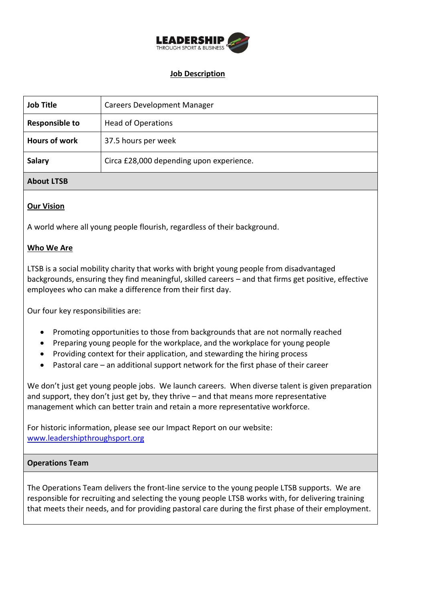

# **Job Description**

| <b>Job Title</b>      | <b>Careers Development Manager</b>       |
|-----------------------|------------------------------------------|
| <b>Responsible to</b> | <b>Head of Operations</b>                |
| <b>Hours of work</b>  | 37.5 hours per week                      |
| <b>Salary</b>         | Circa £28,000 depending upon experience. |

# **About LTSB**

## **Our Vision**

A world where all young people flourish, regardless of their background.

#### **Who We Are**

LTSB is a social mobility charity that works with bright young people from disadvantaged backgrounds, ensuring they find meaningful, skilled careers – and that firms get positive, effective employees who can make a difference from their first day.

Our four key responsibilities are:

- Promoting opportunities to those from backgrounds that are not normally reached
- Preparing young people for the workplace, and the workplace for young people
- Providing context for their application, and stewarding the hiring process
- Pastoral care an additional support network for the first phase of their career

We don't just get young people jobs. We launch careers. When diverse talent is given preparation and support, they don't just get by, they thrive – and that means more representative management which can better train and retain a more representative workforce.

For historic information, please see our Impact Report on our website: [www.leadershipthroughsport.org](http://www.leadershipthroughsport.org/)

#### **Operations Team**

The Operations Team delivers the front-line service to the young people LTSB supports. We are responsible for recruiting and selecting the young people LTSB works with, for delivering training that meets their needs, and for providing pastoral care during the first phase of their employment.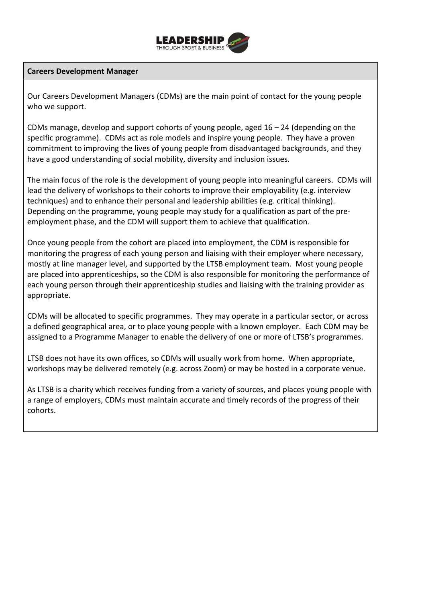

### **Careers Development Manager**

Our Careers Development Managers (CDMs) are the main point of contact for the young people who we support.

CDMs manage, develop and support cohorts of young people, aged  $16 - 24$  (depending on the specific programme). CDMs act as role models and inspire young people. They have a proven commitment to improving the lives of young people from disadvantaged backgrounds, and they have a good understanding of social mobility, diversity and inclusion issues.

The main focus of the role is the development of young people into meaningful careers. CDMs will lead the delivery of workshops to their cohorts to improve their employability (e.g. interview techniques) and to enhance their personal and leadership abilities (e.g. critical thinking). Depending on the programme, young people may study for a qualification as part of the preemployment phase, and the CDM will support them to achieve that qualification.

Once young people from the cohort are placed into employment, the CDM is responsible for monitoring the progress of each young person and liaising with their employer where necessary, mostly at line manager level, and supported by the LTSB employment team. Most young people are placed into apprenticeships, so the CDM is also responsible for monitoring the performance of each young person through their apprenticeship studies and liaising with the training provider as appropriate.

CDMs will be allocated to specific programmes. They may operate in a particular sector, or across a defined geographical area, or to place young people with a known employer. Each CDM may be assigned to a Programme Manager to enable the delivery of one or more of LTSB's programmes.

LTSB does not have its own offices, so CDMs will usually work from home. When appropriate, workshops may be delivered remotely (e.g. across Zoom) or may be hosted in a corporate venue.

As LTSB is a charity which receives funding from a variety of sources, and places young people with a range of employers, CDMs must maintain accurate and timely records of the progress of their cohorts.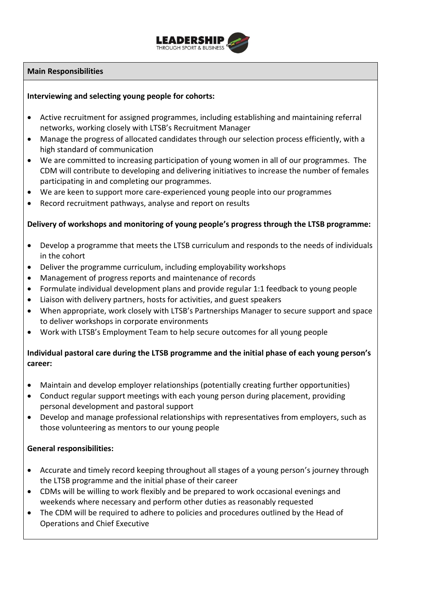

# **Main Responsibilities**

# **Interviewing and selecting young people for cohorts:**

- Active recruitment for assigned programmes, including establishing and maintaining referral networks, working closely with LTSB's Recruitment Manager
- Manage the progress of allocated candidates through our selection process efficiently, with a high standard of communication
- We are committed to increasing participation of young women in all of our programmes. The CDM will contribute to developing and delivering initiatives to increase the number of females participating in and completing our programmes.
- We are keen to support more care-experienced young people into our programmes
- Record recruitment pathways, analyse and report on results

## **Delivery of workshops and monitoring of young people's progress through the LTSB programme:**

- Develop a programme that meets the LTSB curriculum and responds to the needs of individuals in the cohort
- Deliver the programme curriculum, including employability workshops
- Management of progress reports and maintenance of records
- Formulate individual development plans and provide regular 1:1 feedback to young people
- Liaison with delivery partners, hosts for activities, and guest speakers
- When appropriate, work closely with LTSB's Partnerships Manager to secure support and space to deliver workshops in corporate environments
- Work with LTSB's Employment Team to help secure outcomes for all young people

# **Individual pastoral care during the LTSB programme and the initial phase of each young person's career:**

- Maintain and develop employer relationships (potentially creating further opportunities)
- Conduct regular support meetings with each young person during placement, providing personal development and pastoral support
- Develop and manage professional relationships with representatives from employers, such as those volunteering as mentors to our young people

#### **General responsibilities:**

- Accurate and timely record keeping throughout all stages of a young person's journey through the LTSB programme and the initial phase of their career
- CDMs will be willing to work flexibly and be prepared to work occasional evenings and weekends where necessary and perform other duties as reasonably requested
- The CDM will be required to adhere to policies and procedures outlined by the Head of Operations and Chief Executive